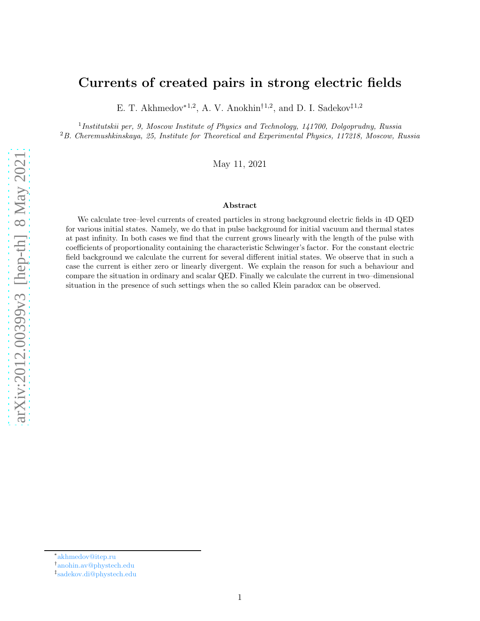# Currents of created pairs in strong electric fields

E. T. Akhmedov<sup>\*1,2</sup>, A. V. Anokhin<sup>†1,2</sup>, and D. I. Sadekov<sup>‡1,2</sup>

<sup>1</sup>Institutskii per, 9, Moscow Institute of Physics and Technology, 141700, Dolgoprudny, Russia <sup>2</sup>B. Cheremushkinskaya, 25, Institute for Theoretical and Experimental Physics, 117218, Moscow, Russia

May 11, 2021

#### Abstract

We calculate tree–level currents of created particles in strong background electric fields in 4D QED for various initial states. Namely, we do that in pulse background for initial vacuum and thermal states at past infinity. In both cases we find that the current grows linearly with the length of the pulse with coefficients of proportionality containing the characteristic Schwinger's factor. For the constant electric field background we calculate the current for several different initial states. We observe that in such a case the current is either zero or linearly divergent. We explain the reason for such a behaviour and compare the situation in ordinary and scalar QED. Finally we calculate the current in two–dimensional situation in the presence of such settings when the so called Klein paradox can be observed.

<sup>∗</sup> [akhmedov@itep.ru](mailto:akhmedov@itep.ru)

<sup>†</sup> [anohin.av@phystech.edu](mailto:anohin.av@phystech.edu)

<sup>‡</sup> [sadekov.di@phystech.edu](mailto:sadekov.de@phystech.edu)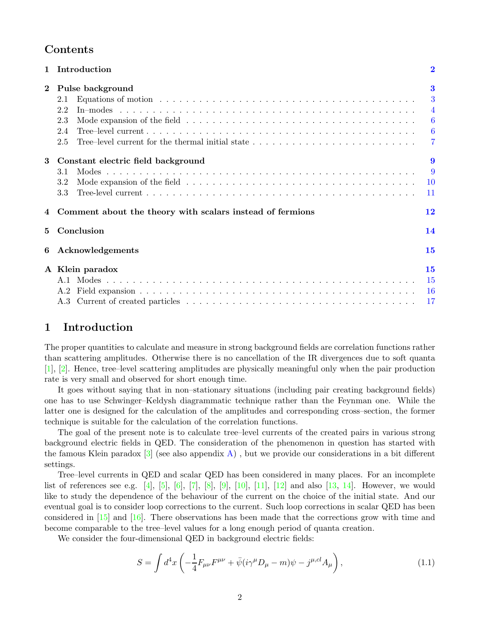# Contents

|          | Introduction                                                                                            | $\overline{2}$                                                                         |
|----------|---------------------------------------------------------------------------------------------------------|----------------------------------------------------------------------------------------|
| $\bf{2}$ | Pulse background<br>2.1<br>2.2<br>2.3<br>2.4<br>Tree-level current for the thermal initial state<br>2.5 | $\bf{3}$<br>3<br>$\overline{4}$<br>$\overline{6}$<br>$6\overline{6}$<br>$\overline{7}$ |
| 3        | Constant electric field background<br>3.1<br>3.2<br>3.3                                                 | 9<br>9<br><b>10</b><br>11                                                              |
|          | Comment about the theory with scalars instead of fermions                                               | 12                                                                                     |
| 5        | Conclusion                                                                                              | 14                                                                                     |
| 6        | Acknowledgements                                                                                        | 15                                                                                     |
|          | A Klein paradox<br>A.2                                                                                  | 15<br><b>15</b><br><b>16</b><br>17                                                     |

# <span id="page-1-0"></span>1 Introduction

The proper quantities to calculate and measure in strong background fields are correlation functions rather than scattering amplitudes. Otherwise there is no cancellation of the IR divergences due to soft quanta [\[1\]](#page-16-1), [\[2\]](#page-16-2). Hence, tree–level scattering amplitudes are physically meaningful only when the pair production rate is very small and observed for short enough time.

It goes without saying that in non–stationary situations (including pair creating background fields) one has to use Schwinger–Keldysh diagrammatic technique rather than the Feynman one. While the latter one is designed for the calculation of the amplitudes and corresponding cross–section, the former technique is suitable for the calculation of the correlation functions.

The goal of the present note is to calculate tree–level currents of the created pairs in various strong background electric fields in QED. The consideration of the phenomenon in question has started with the famous Klein paradox  $\lceil 3 \rceil$  (see also appendix [A\)](#page-14-1), but we provide our considerations in a bit different settings.

Tree–level currents in QED and scalar QED has been considered in many places. For an incomplete list of references see e.g. [\[4\]](#page-16-4), [\[5\]](#page-16-5), [\[6\]](#page-17-0), [\[7\]](#page-17-1), [\[8\]](#page-17-2), [\[9\]](#page-17-3), [\[10\]](#page-17-4), [\[11\]](#page-17-5), [\[12\]](#page-17-6) and also [\[13,](#page-17-7) [14\]](#page-17-8). However, we would like to study the dependence of the behaviour of the current on the choice of the initial state. And our eventual goal is to consider loop corrections to the current. Such loop corrections in scalar QED has been considered in  $\left[15\right]$  and  $\left[16\right]$ . There observations has been made that the corrections grow with time and become comparable to the tree–level values for a long enough period of quanta creation.

We consider the four-dimensional QED in background electric fields:

$$
S = \int d^4x \left( -\frac{1}{4} F_{\mu\nu} F^{\mu\nu} + \bar{\psi} (i\gamma^{\mu} D_{\mu} - m) \psi - j^{\mu,cl} A_{\mu} \right), \tag{1.1}
$$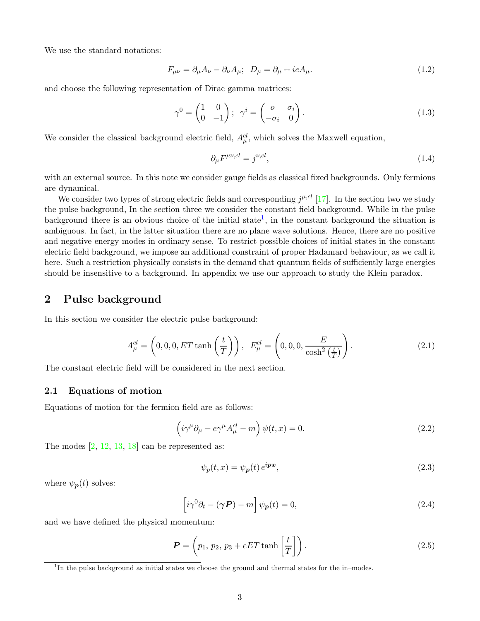We use the standard notations:

$$
F_{\mu\nu} = \partial_{\mu}A_{\nu} - \partial_{\nu}A_{\mu}; \ \ D_{\mu} = \partial_{\mu} + ieA_{\mu}.
$$
\n(1.2)

and choose the following representation of Dirac gamma matrices:

$$
\gamma^0 = \begin{pmatrix} 1 & 0 \\ 0 & -1 \end{pmatrix}; \quad \gamma^i = \begin{pmatrix} o & \sigma_i \\ -\sigma_i & 0 \end{pmatrix}.
$$
 (1.3)

We consider the classical background electric field,  $A_{\mu}^{cl}$ , which solves the Maxwell equation,

$$
\partial_{\mu}F^{\mu\nu,cl} = j^{\nu,cl},\tag{1.4}
$$

with an external source. In this note we consider gauge fields as classical fixed backgrounds. Only fermions are dynamical.

We consider two types of strong electric fields and corresponding  $j^{\mu,cl}$  [\[17\]](#page-17-11). In the section two we study the pulse background, In the section three we consider the constant field background. While in the pulse background there is an obvious choice of the initial state<sup>[1](#page-2-2)</sup>, in the constant background the situation is ambiguous. In fact, in the latter situation there are no plane wave solutions. Hence, there are no positive and negative energy modes in ordinary sense. To restrict possible choices of initial states in the constant electric field background, we impose an additional constraint of proper Hadamard behaviour, as we call it here. Such a restriction physically consists in the demand that quantum fields of sufficiently large energies should be insensitive to a background. In appendix we use our approach to study the Klein paradox.

# <span id="page-2-0"></span>2 Pulse background

In this section we consider the electric pulse background:

$$
A_{\mu}^{cl} = \left(0, 0, 0, ET \tanh\left(\frac{t}{T}\right)\right), \quad E_{\mu}^{cl} = \left(0, 0, 0, \frac{E}{\cosh^2\left(\frac{t}{T}\right)}\right). \tag{2.1}
$$

<span id="page-2-1"></span>The constant electric field will be considered in the next section.

## 2.1 Equations of motion

Equations of motion for the fermion field are as follows:

$$
\left(i\gamma^{\mu}\partial_{\mu} - e\gamma^{\mu}A^{cl}_{\mu} - m\right)\psi(t,x) = 0.
$$
\n(2.2)

The modes  $[2, 12, 13, 18]$  $[2, 12, 13, 18]$  $[2, 12, 13, 18]$  $[2, 12, 13, 18]$  $[2, 12, 13, 18]$  $[2, 12, 13, 18]$  can be represented as:

$$
\psi_p(t,x) = \psi_p(t) e^{i\mathbf{p}x},\tag{2.3}
$$

where  $\psi_{\mathbf{p}}(t)$  solves:

<span id="page-2-3"></span>
$$
\left[i\gamma^{0}\partial_{t} - (\gamma \mathbf{P}) - m\right]\psi_{\mathbf{p}}(t) = 0, \qquad (2.4)
$$

and we have defined the physical momentum:

$$
\boldsymbol{P} = \left(p_1, p_2, p_3 + e\boldsymbol{E}\boldsymbol{T} \tanh\left[\frac{t}{T}\right]\right). \tag{2.5}
$$

<span id="page-2-2"></span><sup>&</sup>lt;sup>1</sup>In the pulse background as initial states we choose the ground and thermal states for the in–modes.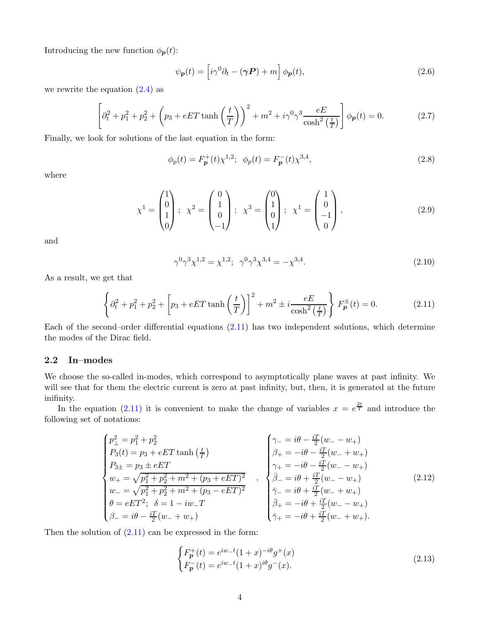Introducing the new function  $\phi_{p}(t)$ :

<span id="page-3-4"></span>
$$
\psi_{\mathbf{p}}(t) = \left[ i\gamma^0 \partial_t - (\gamma \mathbf{P}) + m \right] \phi_{\mathbf{p}}(t), \tag{2.6}
$$

we rewrite the equation  $(2.4)$  as

<span id="page-3-6"></span>
$$
\left[\partial_t^2 + p_1^2 + p_2^2 + \left(p_3 + eET \tanh\left(\frac{t}{T}\right)\right)^2 + m^2 + i\gamma^0\gamma^3 \frac{eE}{\cosh^2\left(\frac{t}{T}\right)}\right]\phi_p(t) = 0.
$$
 (2.7)

Finally, we look for solutions of the last equation in the form:

<span id="page-3-2"></span>
$$
\phi_p(t) = F_p^+(t)\chi^{1,2}; \ \ \phi_p(t) = F_p^-(t)\chi^{3,4},\tag{2.8}
$$

where

<span id="page-3-3"></span>
$$
\chi^{1} = \begin{pmatrix} 1 \\ 0 \\ 1 \\ 0 \end{pmatrix}; \ \ \chi^{2} = \begin{pmatrix} 0 \\ 1 \\ 0 \\ -1 \end{pmatrix}; \ \ \chi^{3} = \begin{pmatrix} 0 \\ 1 \\ 0 \\ 1 \end{pmatrix}; \ \ \chi^{1} = \begin{pmatrix} 1 \\ 0 \\ -1 \\ 0 \end{pmatrix}, \tag{2.9}
$$

and

$$
\gamma^0 \gamma^3 \chi^{1,2} = \chi^{1,2}; \ \ \gamma^0 \gamma^3 \chi^{3,4} = -\chi^{3,4}.\tag{2.10}
$$

As a result, we get that

<span id="page-3-1"></span>
$$
\left\{\partial_t^2 + p_1^2 + p_2^2 + \left[p_3 + eET \tanh\left(\frac{t}{T}\right)\right]^2 + m^2 \pm i \frac{eE}{\cosh^2\left(\frac{t}{T}\right)}\right\} F_p^{\pm}(t) = 0.
$$
 (2.11)

Each of the second–order differential equations  $(2.11)$  has two independent solutions, which determine the modes of the Dirac field.

### <span id="page-3-0"></span>2.2 In–modes

We choose the so-called in-modes, which correspond to asymptotically plane waves at past infinity. We will see that for them the electric current is zero at past infinity, but, then, it is generated at the future inifinity.

In the equation [\(2.11\)](#page-3-1) it is convenient to make the change of variables  $x = e^{\frac{2t}{T}}$  and introduce the following set of notations:

<span id="page-3-5"></span>
$$
\begin{cases}\np_{\perp}^{2} = p_{1}^{2} + p_{2}^{2} & \left(\gamma_{-} = i\theta - \frac{iT}{2}(w_{-} - w_{+})\right) \\
P_{3}(t) = p_{3} + eET \tanh\left(\frac{t}{T}\right) & \beta_{+} = -i\theta - \frac{iT}{2}(w_{-} + w_{+}) \\
p_{3\pm} = p_{3} \pm eET & \gamma_{+} = -i\theta - \frac{iT}{2}(w_{-} - w_{+}) \\
w_{+} = \sqrt{p_{1}^{2} + p_{2}^{2} + m^{2} + (p_{3} + eET)^{2}} & \beta_{-} = i\theta + \frac{iT}{2}(w_{-} - w_{+}) \\
\theta = eET^{2}; \quad \delta = 1 - iw_{-}T & \beta_{+} = -i\theta + \frac{iT}{2}(w_{-} + w_{+}) \\
\beta_{-} = i\theta - \frac{iT}{2}(w_{-} + w_{+}) & \overline{\gamma}_{+} = -i\theta + \frac{iT}{2}(w_{-} - w_{+}) \\
\overline{\gamma}_{+} = -i\theta + \frac{iT}{2}(w_{-} + w_{+}).\n\end{cases} (2.12)
$$

Then the solution of  $(2.11)$  can be expressed in the form:

$$
\begin{cases} F_p^+(t) = e^{iw_-t} (1+x)^{-i\theta} g^+(x) \\ F_p^-(t) = e^{iw_-t} (1+x)^{i\theta} g^-(x). \end{cases}
$$
\n(2.13)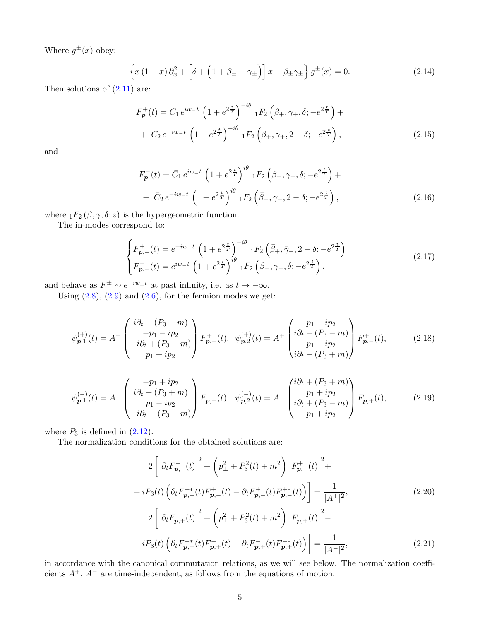Where  $g^{\pm}(x)$  obey:

$$
\left\{x\left(1+x\right)\partial_{x}^{2}+\left[\delta+\left(1+\beta_{\pm}+\gamma_{\pm}\right)\right]x+\beta_{\pm}\gamma_{\pm}\right\}g^{\pm}(x)=0.\tag{2.14}
$$

Then solutions of  $(2.11)$  are:

$$
F_{\mathbf{p}}^{+}(t) = C_{1} e^{iw_{-}t} \left(1 + e^{2\frac{t}{T}}\right)^{-i\theta} {}_{1}F_{2} \left(\beta_{+}, \gamma_{+}, \delta; -e^{2\frac{t}{T}}\right) +
$$
  
+ 
$$
C_{2} e^{-iw_{-}t} \left(1 + e^{2\frac{t}{T}}\right)^{-i\theta} {}_{1}F_{2} \left(\bar{\beta}_{+}, \bar{\gamma}_{+}, 2 - \delta; -e^{2\frac{t}{T}}\right),
$$
 (2.15)

and

$$
F_{\mathbf{p}}^{-}(t) = \bar{C}_{1} e^{iw_{-}t} \left( 1 + e^{2\frac{t}{T}} \right)^{i\theta} {}_{1}F_{2} \left( \beta_{-}, \gamma_{-}, \delta; -e^{2\frac{t}{T}} \right) + + \bar{C}_{2} e^{-iw_{-}t} \left( 1 + e^{2\frac{t}{T}} \right)^{i\theta} {}_{1}F_{2} \left( \bar{\beta}_{-}, \bar{\gamma}_{-}, 2 - \delta; -e^{2\frac{t}{T}} \right),
$$
(2.16)

where  ${}_1F_2(\beta, \gamma, \delta; z)$  is the hypergeometric function.

The in-modes correspond to:

$$
\begin{cases}\nF_{\mathbf{p},-}^{+}(t) = e^{-iw_{-}t} \left(1 + e^{2\frac{t}{T}}\right)^{-i\theta} {}_{1}F_{2} \left(\bar{\beta}_{+}, \bar{\gamma}_{+}, 2 - \delta; -e^{2\frac{t}{T}}\right) \\
F_{\mathbf{p},+}^{-}(t) = e^{iw_{-}t} \left(1 + e^{2\frac{t}{T}}\right)^{i\theta} {}_{1}F_{2} \left(\beta_{-}, \gamma_{-}, \delta; -e^{2\frac{t}{T}}\right),\n\end{cases}
$$
\n(2.17)

and behave as  $F^{\pm} \sim e^{\mp i w_{\pm} t}$  at past infinity, i.e. as  $t \to -\infty$ .

Using  $(2.8)$ ,  $(2.9)$  and  $(2.6)$ , for the fermion modes we get:

$$
\psi_{p,1}^{(+)}(t) = A^{+} \begin{pmatrix} i\partial_{t} - (P_{3} - m) \\ -p_{1} - ip_{2} \\ -i\partial_{t} + (P_{3} + m) \\ p_{1} + ip_{2} \end{pmatrix} F_{p,-}^{+}(t), \quad \psi_{p,2}^{(+)}(t) = A^{+} \begin{pmatrix} p_{1} - ip_{2} \\ i\partial_{t} - (P_{3} - m) \\ p_{1} - ip_{2} \\ i\partial_{t} - (P_{3} + m) \end{pmatrix} F_{p,-}^{+}(t), \tag{2.18}
$$

$$
\psi_{p,1}^{(-)}(t) = A^{-} \begin{pmatrix} -p_1 + ip_2 \\ i\partial_t + (P_3 + m) \\ p_1 - ip_2 \\ -i\partial_t - (P_3 - m) \end{pmatrix} F_{p,+}^{-}(t), \quad \psi_{p,2}^{(-)}(t) = A^{-} \begin{pmatrix} i\partial_t + (P_3 + m) \\ p_1 + ip_2 \\ i\partial_t + (P_3 - m) \\ p_1 + ip_2 \end{pmatrix} F_{p,+}^{-}(t), \tag{2.19}
$$

where  $P_3$  is defined in  $(2.12)$ .

The normalization conditions for the obtained solutions are:

<span id="page-4-0"></span>
$$
2\left[\left|\partial_{t}F_{\mathbf{p},-}^{+}(t)\right|^{2}+\left(p_{\perp}^{2}+P_{3}^{2}(t)+m^{2}\right)\left|F_{\mathbf{p},-}^{+}(t)\right|^{2}+\right.
$$
  
+ $iP_{3}(t)\left(\partial_{t}F_{\mathbf{p},-}^{+*}(t)F_{\mathbf{p},-}^{+}(t)-\partial_{t}F_{\mathbf{p},-}^{+}(t)F_{\mathbf{p},-}^{+*}(t)\right)\right]=\frac{1}{|A^{+}|^{2}},$   

$$
2\left[\left|\partial_{t}F_{\mathbf{p},+}^{-}(t)\right|^{2}+\left(p_{\perp}^{2}+P_{3}^{2}(t)+m^{2}\right)\left|F_{\mathbf{p},+}^{-}(t)\right|^{2}-\right.
$$
  

$$
-iP_{3}(t)\left(\partial_{t}F_{\mathbf{p},+}^{-*}(t)F_{\mathbf{p},+}^{-}(t)-\partial_{t}F_{\mathbf{p},+}^{-}(t)F_{\mathbf{p},+}^{-*}(t)\right)\right]=\frac{1}{|A^{-}|^{2}},
$$
(2.21)

in accordance with the canonical commutation relations, as we will see below. The normalization coefficients  $A^+$ ,  $A^-$  are time-independent, as follows from the equations of motion.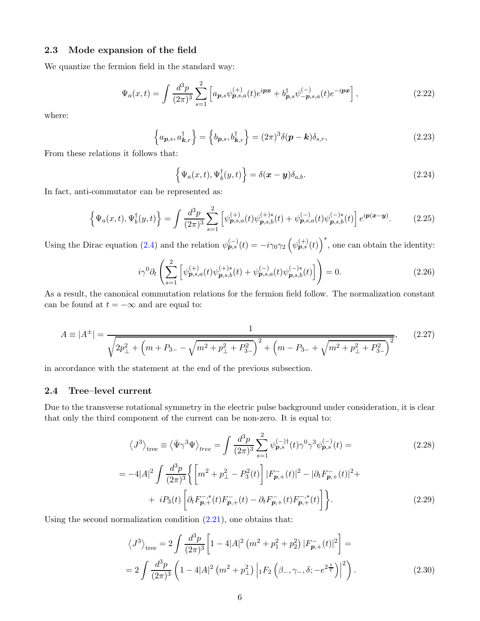### <span id="page-5-0"></span>2.3 Mode expansion of the field

We quantize the fermion field in the standard way:

<span id="page-5-4"></span>
$$
\Psi_a(x,t) = \int \frac{d^3 p}{(2\pi)^3} \sum_{s=1}^2 \left[ a_{\mathbf{p},s} \psi_{\mathbf{p},s,a}^{(+)}(t) e^{i\mathbf{p}\mathbf{x}} + b_{\mathbf{p},s}^{\dagger} \psi_{-\mathbf{p},s,a}^{(-)}(t) e^{-i\mathbf{p}\mathbf{x}} \right],\tag{2.22}
$$

where:

$$
\left\{ a_{\boldsymbol{p},s}, a_{\boldsymbol{k},r}^{\dagger} \right\} = \left\{ b_{\boldsymbol{p},s}, b_{\boldsymbol{k},r}^{\dagger} \right\} = (2\pi)^3 \delta(\boldsymbol{p} - \boldsymbol{k}) \delta_{s,r},\tag{2.23}
$$

From these relations it follows that:

$$
\left\{\Psi_a(x,t),\Psi_b^{\dagger}(y,t)\right\} = \delta(\boldsymbol{x}-\boldsymbol{y})\delta_{a,b}.
$$
\n(2.24)

In fact, anti-commutator can be represented as:

$$
\left\{\Psi_a(x,t),\Psi_b^{\dagger}(y,t)\right\} = \int \frac{d^3p}{(2\pi)^3} \sum_{s=1}^2 \left[\psi_{\mathbf{p},s,a}^{(+)}(t)\psi_{\mathbf{p},s,b}^{(+)}(t) + \psi_{\mathbf{p},s,a}^{(-)}(t)\psi_{\mathbf{p},s,b}^{(-)*}(t)\right] e^{i\mathbf{p}(\mathbf{x}-\mathbf{y})}.\tag{2.25}
$$

Using the Dirac equation [\(2.4\)](#page-2-3) and the relation  $\psi_{p,s}^{(-)}(t) = -i\gamma_0\gamma_2 \left(\psi_{p,s}^{(+)}(t)\right)^*$ , one can obtain the identity:

$$
i\gamma^{0}\partial_{t}\left(\sum_{s=1}^{2}\left[\psi_{\mathbf{p},s,a}^{(+)}(t)\psi_{\mathbf{p},s,b}^{(+)\ast}(t)+\psi_{\mathbf{p},s,a}^{(-)}(t)\psi_{\mathbf{p},s,b}^{(-)\ast}(t)\right]\right)=0.\tag{2.26}
$$

As a result, the canonical commutation relations for the fermion field follow. The normalization constant can be found at  $t = -\infty$  and are equal to:

$$
A = |A^{\pm}| = \frac{1}{\sqrt{2p_{\perp}^{2} + \left(m + P_{3-} - \sqrt{m^{2} + p_{\perp}^{2} + P_{3-}^{2}}\right)^{2} + \left(m - P_{3-} + \sqrt{m^{2} + p_{\perp}^{2} + P_{3-}^{2}}\right)^{2}}},
$$
(2.27)

in accordance with the statement at the end of the previous subsection.

#### <span id="page-5-1"></span>2.4 Tree–level current

Due to the transverse rotational symmetry in the electric pulse background under consideration, it is clear that only the third component of the current can be non-zero. It is equal to:

<span id="page-5-3"></span>
$$
\langle J^3 \rangle_{\text{tree}} \equiv \langle \bar{\Psi} \gamma^3 \Psi \rangle_{\text{tree}} = \int \frac{d^3 p}{(2\pi)^3} \sum_{s=1}^2 \psi_{\boldsymbol{p},s}^{(-)\dagger}(t) \gamma^0 \gamma^3 \psi_{\boldsymbol{p},s}^{(-)}(t) = \tag{2.28}
$$

$$
= -4|A|^2 \int \frac{d^3p}{(2\pi)^3} \left\{ \left[ m^2 + p_\perp^2 - P_3^2(t) \right] |F_{\mathbf{p},+}^{-}(t)|^2 - |\partial_t F_{\mathbf{p},+}^{-}(t)|^2 + \right. \\ \left. + iP_3(t) \left[ \partial_t F_{\mathbf{p},+}^{-,*}(t) F_{\mathbf{p},+}^{-}(t) - \partial_t F_{\mathbf{p},+}^{-,*}(t) F_{\mathbf{p},+}^{-,*}(t) \right] \right\} . \tag{2.29}
$$

Using the second normalization condition  $(2.21)$ , one obtains that:

<span id="page-5-2"></span>
$$
\langle J^3 \rangle_{\text{tree}} = 2 \int \frac{d^3 p}{(2\pi)^3} \left[ 1 - 4|A|^2 \left( m^2 + p_1^2 + p_2^2 \right) |F_{\mathbf{p},+}^{-}(t)|^2 \right] =
$$
  
= 
$$
2 \int \frac{d^3 p}{(2\pi)^3} \left( 1 - 4|A|^2 \left( m^2 + p_\perp^2 \right) \left| {}_1F_2 \left( \beta_-, \gamma_-, \delta; -e^{2\frac{t}{T}} \right) \right|^2 \right).
$$
 (2.30)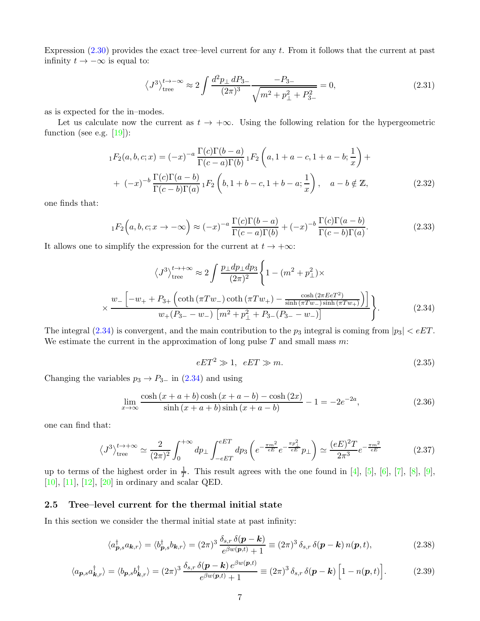Expression [\(2.30\)](#page-5-2) provides the exact tree–level current for any t. From it follows that the current at past infinity  $t \to -\infty$  is equal to:

$$
\langle J^3 \rangle_{\text{tree}}^{t \to -\infty} \approx 2 \int \frac{d^2 p_\perp dP_{3-}}{(2\pi)^3} \frac{-P_{3-}}{\sqrt{m^2 + p_\perp^2 + P_{3-}^2}} = 0,\tag{2.31}
$$

as is expected for the in–modes.

Let us calculate now the current as  $t \to +\infty$ . Using the following relation for the hypergeometric function (see e.g.  $[19]$ ):

$$
{}_{1}F_{2}(a,b,c;x) = (-x)^{-a} \frac{\Gamma(c)\Gamma(b-a)}{\Gamma(c-a)\Gamma(b)} {}_{1}F_{2}\left(a,1+a-c,1+a-b;\frac{1}{x}\right) ++ (-x)^{-b} \frac{\Gamma(c)\Gamma(a-b)}{\Gamma(c-b)\Gamma(a)} {}_{1}F_{2}\left(b,1+b-c,1+b-a;\frac{1}{x}\right), \quad a-b \notin \mathbb{Z},
$$
\n(2.32)

one finds that:

$$
{}_1F_2\Big(a,b,c;x\to-\infty\Big) \approx (-x)^{-a}\frac{\Gamma(c)\Gamma(b-a)}{\Gamma(c-a)\Gamma(b)} + (-x)^{-b}\frac{\Gamma(c)\Gamma(a-b)}{\Gamma(c-b)\Gamma(a)}.\tag{2.33}
$$

It allows one to simplify the expression for the current at  $t \to +\infty$ :

<span id="page-6-1"></span>
$$
\langle J^3 \rangle_{\text{tree}}^{t \to +\infty} \approx 2 \int \frac{p_\perp dp_\perp dp_3}{(2\pi)^2} \left\{ 1 - (m^2 + p_\perp^2) \times \right.
$$
  

$$
\times \frac{w_- \left[ -w_+ + P_{3+} \left( \coth \left( \pi T w_- \right) \coth \left( \pi T w_+ \right) - \frac{\cosh \left( 2\pi E e T^2 \right)}{\sinh \left( \pi T w_- \right) \sinh \left( \pi T w_+ \right)} \right) \right]}{w_+ (P_{3-} - w_-) \left[ m^2 + p_\perp^2 + P_{3-} (P_{3-} - w_-) \right]} \right\}.
$$
 (2.34)

The integral [\(2.34\)](#page-6-1) is convergent, and the main contribution to the  $p_3$  integral is coming from  $|p_3| < eET$ . We estimate the current in the approximation of long pulse  $T$  and small mass  $m$ :

<span id="page-6-2"></span>
$$
eET^2 \gg 1, \quad eET \gg m. \tag{2.35}
$$

Changing the variables  $p_3 \rightarrow P_{3-}$  in [\(2.34\)](#page-6-1) and using

$$
\lim_{x \to \infty} \frac{\cosh(x + a + b)\cosh(x + a - b) - \cosh(2x)}{\sinh(x + a + b)\sinh(x + a - b)} - 1 = -2e^{-2a},
$$
\n(2.36)

one can find that:

$$
\langle J^3 \rangle_{\text{tree}}^{t \to +\infty} \simeq \frac{2}{(2\pi)^2} \int_0^{+\infty} dp_\perp \int_{-eET}^{eET} dp_3 \left( e^{-\frac{\pi m^2}{eE}} e^{-\frac{\pi p_\perp^2}{eE}} p_\perp \right) \simeq \frac{(eE)^2 T}{2\pi^3} e^{-\frac{\pi m^2}{eE}} \tag{2.37}
$$

up to terms of the highest order in  $\frac{1}{T}$ . This result agrees with the one found in [\[4\]](#page-16-4), [\[5\]](#page-16-5), [\[6\]](#page-17-0), [\[7\]](#page-17-1), [\[8\]](#page-17-2), [\[9\]](#page-17-3), [\[10\]](#page-17-4), [\[11\]](#page-17-5), [\[12\]](#page-17-6), [\[20\]](#page-17-14) in ordinary and scalar QED.

### <span id="page-6-0"></span>2.5 Tree–level current for the thermal initial state

In this section we consider the thermal initial state at past infinity:

$$
\langle a_{\boldsymbol{p},s}^{\dagger} a_{\boldsymbol{k},r} \rangle = \langle b_{\boldsymbol{p},s}^{\dagger} b_{\boldsymbol{k},r} \rangle = (2\pi)^3 \frac{\delta_{s,r} \delta(\boldsymbol{p} - \boldsymbol{k})}{e^{\beta w(\boldsymbol{p},t)} + 1} \equiv (2\pi)^3 \delta_{s,r} \delta(\boldsymbol{p} - \boldsymbol{k}) n(\boldsymbol{p},t), \tag{2.38}
$$

$$
\langle a_{\boldsymbol{p},s} a_{\boldsymbol{k},r}^{\dagger} \rangle = \langle b_{\boldsymbol{p},s} b_{\boldsymbol{k},r}^{\dagger} \rangle = (2\pi)^3 \frac{\delta_{s,r} \,\delta(\boldsymbol{p}-\boldsymbol{k}) \, e^{\beta w(\boldsymbol{p},t)}}{e^{\beta w(\boldsymbol{p},t)} + 1} \equiv (2\pi)^3 \,\delta_{s,r} \,\delta(\boldsymbol{p}-\boldsymbol{k}) \left[ 1 - n(\boldsymbol{p},t) \right]. \tag{2.39}
$$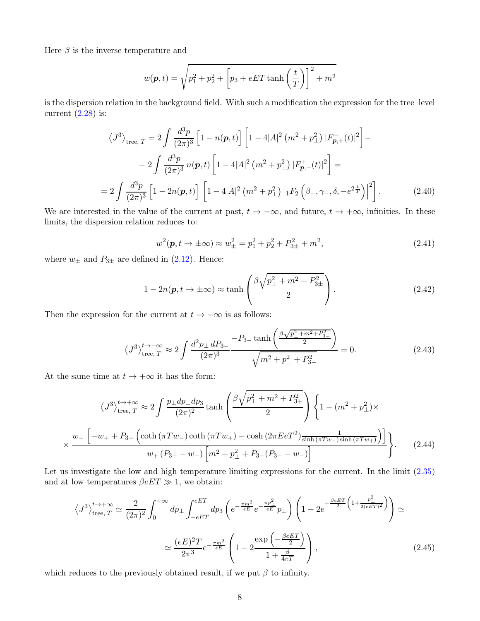Here  $\beta$  is the inverse temperature and

$$
w(\boldsymbol{p},t) = \sqrt{p_1^2 + p_2^2 + \left[p_3 + eET \tanh\left(\frac{t}{T}\right)\right]^2 + m^2}
$$

is the dispersion relation in the background field. With such a modification the expression for the tree–level current  $(2.28)$  is:

$$
\langle J^3 \rangle_{\text{tree, } T} = 2 \int \frac{d^3 p}{(2\pi)^3} \left[ 1 - n(\boldsymbol{p}, t) \right] \left[ 1 - 4|A|^2 \left( m^2 + p_\perp^2 \right) |F_{\boldsymbol{p},+}^-(t)|^2 \right] -
$$
  

$$
- 2 \int \frac{d^3 p}{(2\pi)^3} n(\boldsymbol{p}, t) \left[ 1 - 4|A|^2 \left( m^2 + p_\perp^2 \right) |F_{\boldsymbol{p},-}^+(t)|^2 \right] =
$$
  

$$
= 2 \int \frac{d^3 p}{(2\pi)^3} \left[ 1 - 2n(\boldsymbol{p}, t) \right] \left[ 1 - 4|A|^2 \left( m^2 + p_\perp^2 \right) \left| {}_1F_2 \left( \beta_-, \gamma_-, \delta, -e^{2\frac{t}{T}} \right) \right|^2 \right].
$$
 (2.40)

We are interested in the value of the current at past,  $t \to -\infty$ , and future,  $t \to +\infty$ , infinities. In these limits, the dispersion relation reduces to:

$$
w^{2}(\mathbf{p}, t \to \pm \infty) \approx w_{\pm}^{2} = p_{1}^{2} + p_{2}^{2} + P_{3\pm}^{2} + m^{2}, \qquad (2.41)
$$

where  $w_{\pm}$  and  $P_{3\pm}$  are defined in [\(2.12\)](#page-3-5). Hence:

$$
1 - 2n(\mathbf{p}, t \to \pm \infty) \approx \tanh\left(\frac{\beta \sqrt{p_{\perp}^2 + m^2 + P_{3\pm}^2}}{2}\right). \tag{2.42}
$$

Then the expression for the current at  $t \to -\infty$  is as follows:

$$
\langle J^3 \rangle_{\text{tree}, T}^{t \to -\infty} \approx 2 \int \frac{d^2 p_\perp \, dP_{3-}}{(2\pi)^3} \frac{-P_{3-} \tanh\left(\frac{\beta \sqrt{p_\perp^2 + m^2 + P_{3-}^2}}{2}\right)}{\sqrt{m^2 + p_\perp^2 + P_{3-}^2}} = 0. \tag{2.43}
$$

At the same time at  $t \to +\infty$  it has the form:

$$
\langle J^3 \rangle_{\text{tree}, T}^{t \to +\infty} \approx 2 \int \frac{p_\perp dp_\perp dp_3}{(2\pi)^2} \tanh\left(\frac{\beta \sqrt{p_\perp^2 + m^2 + P_{3+}^2}}{2}\right) \left\{ 1 - (m^2 + p_\perp^2) \times \right\}
$$

$$
\times \frac{w_- \left[ -w_+ + P_{3+} \left( \coth\left(\pi T w_-\right) \coth\left(\pi T w_+\right) - \cosh\left(2\pi E e T^2\right) \frac{1}{\sinh\left(\pi T w_-\right) \sinh\left(\pi T w_+\right)} \right) \right]}{w_+ \left(P_{3-} - w_-\right) \left[ m^2 + p_\perp^2 + P_{3-} (P_{3-} - w_-\right) \right]} \tag{2.44}
$$

Let us investigate the low and high temperature limiting expressions for the current. In the limit  $(2.35)$ and at low temperatures  $\beta eET \gg 1$ , we obtain:

<span id="page-7-0"></span>
$$
\langle J^3 \rangle_{\text{tree}, T}^{t \to +\infty} \simeq \frac{2}{(2\pi)^2} \int_0^{+\infty} dp_\perp \int_{-eET}^{eET} dp_3 \left( e^{-\frac{\pi m^2}{eE}} e^{-\frac{\pi p_\perp^2}{eE}} p_\perp \right) \left( 1 - 2e^{-\frac{\beta eET}{2} \left( 1 + \frac{p_\perp^2}{2(eET)^2} \right)} \right) \simeq
$$
  

$$
\simeq \frac{(eE)^2 T}{2\pi^3} e^{-\frac{\pi m^2}{eE}} \left( 1 - 2 \frac{\exp\left(-\frac{\beta eET}{2}\right)}{1 + \frac{\beta}{4\pi T}} \right), \tag{2.45}
$$

which reduces to the previously obtained result, if we put  $\beta$  to infinity.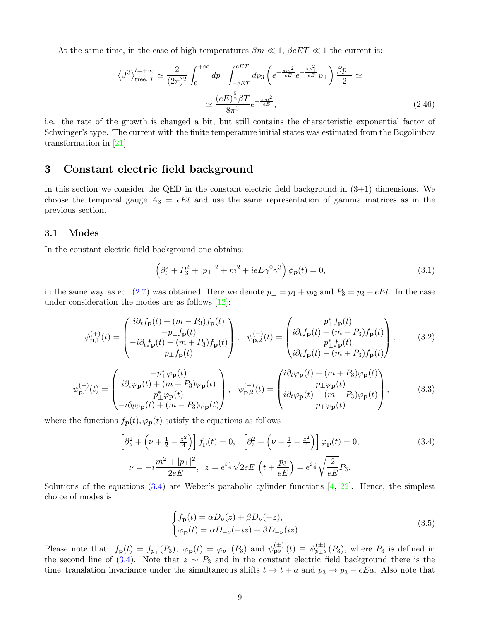At the same time, in the case of high temperatures  $\beta m \ll 1$ ,  $\beta eET \ll 1$  the current is:

<span id="page-8-6"></span>
$$
\langle J^3 \rangle_{\text{tree}, T}^{t = +\infty} \simeq \frac{2}{(2\pi)^2} \int_0^{+\infty} dp_\perp \int_{-eET}^{eET} dp_3 \left( e^{-\frac{\pi m^2}{eE}} e^{-\frac{\pi p_\perp^2}{eE}} p_\perp \right) \frac{\beta p_\perp}{2} \simeq
$$

$$
\simeq \frac{(eE)^{\frac{5}{2}} \beta T}{8\pi^3} e^{-\frac{\pi m^2}{eE}}, \tag{2.46}
$$

i.e. the rate of the growth is changed a bit, but still contains the characteristic exponential factor of Schwinger's type. The current with the finite temperature initial states was estimated from the Bogoliubov transformation in [\[21\]](#page-17-15).

# <span id="page-8-0"></span>3 Constant electric field background

In this section we consider the QED in the constant electric field background in  $(3+1)$  dimensions. We choose the temporal gauge  $A_3 = eEt$  and use the same representation of gamma matrices as in the previous section.

### <span id="page-8-1"></span>3.1 Modes

In the constant electric field background one obtains:

$$
\left(\partial_t^2 + P_3^2 + |p_\perp|^2 + m^2 + ieE\gamma^0\gamma^3\right)\phi_p(t) = 0,\tag{3.1}
$$

in the same way as eq. [\(2.7\)](#page-3-6) was obtained. Here we denote  $p_{\perp} = p_1 + ip_2$  and  $P_3 = p_3 + eEt$ . In the case under consideration the modes are as follows  $[12]$ :

<span id="page-8-4"></span>
$$
\psi_{\mathbf{p},1}^{(+)}(t) = \begin{pmatrix} i\partial_t f_{\mathbf{p}}(t) + (m - P_3) f_{\mathbf{p}}(t) \\ -p_{\perp} f_{\mathbf{p}}(t) \\ -i\partial_t f_{\mathbf{p}}(t) + (m + P_3) f_{\mathbf{p}}(t) \\ p_{\perp} f_{\mathbf{p}}(t) \end{pmatrix}, \quad \psi_{\mathbf{p},2}^{(+)}(t) = \begin{pmatrix} p_{\perp}^* f_{\mathbf{p}}(t) \\ i\partial_t f_{\mathbf{p}}(t) + (m - P_3) f_{\mathbf{p}}(t) \\ p_{\perp}^* f_{\mathbf{p}}(t) \\ i\partial_t f_{\mathbf{p}}(t) - (m + P_3) f_{\mathbf{p}}(t) \end{pmatrix}, \quad (3.2)
$$

<span id="page-8-5"></span>
$$
\psi_{\mathbf{p},1}^{(-)}(t) = \begin{pmatrix} -p_{\perp}^{*}\varphi_{\mathbf{p}}(t) \\ i\partial_{t}\varphi_{\mathbf{p}}(t) + (m+P_{3})\varphi_{\mathbf{p}}(t) \\ p_{\perp}^{*}\varphi_{\mathbf{p}}(t) \\ -i\partial_{t}\varphi_{\mathbf{p}}(t) + (m-P_{3})\varphi_{\mathbf{p}}(t) \end{pmatrix}, \quad \psi_{\mathbf{p},2}^{(-)}(t) = \begin{pmatrix} i\partial_{t}\varphi_{\mathbf{p}}(t) + (m+P_{3})\varphi_{\mathbf{p}}(t) \\ p_{\perp}\varphi_{\mathbf{p}}(t) \\ i\partial_{t}\varphi_{\mathbf{p}}(t) - (m-P_{3})\varphi_{\mathbf{p}}(t) \\ p_{\perp}\varphi_{\mathbf{p}}(t) \end{pmatrix}, \quad (3.3)
$$

where the functions  $f_{p}(t), \varphi_{p}(t)$  satisfy the equations as follows

<span id="page-8-2"></span>
$$
\left[\partial_z^2 + \left(\nu + \frac{1}{2} - \frac{z^2}{4}\right)\right] f_{\mathbf{p}}(t) = 0, \quad \left[\partial_z^2 + \left(\nu - \frac{1}{2} - \frac{z^2}{4}\right)\right] \varphi_{\mathbf{p}}(t) = 0,
$$
\n
$$
\nu = -i \frac{m^2 + |p_\perp|^2}{2eE}, \quad z = e^{i\frac{\pi}{4}} \sqrt{2eE} \left(t + \frac{p_3}{eE}\right) = e^{i\frac{\pi}{4}} \sqrt{\frac{2}{eE}} P_3.
$$
\n(3.4)

Solutions of the equations  $(3.4)$  are Weber's parabolic cylinder functions  $[4, 22]$  $[4, 22]$ . Hence, the simplest choice of modes is

<span id="page-8-3"></span>
$$
\begin{cases}\nf_{\mathbf{p}}(t) = \alpha D_{\nu}(z) + \beta D_{\nu}(-z), \\
\varphi_{\mathbf{p}}(t) = \tilde{\alpha} D_{-\nu}(-iz) + \tilde{\beta} D_{-\nu}(iz).\n\end{cases}
$$
\n(3.5)

Please note that:  $f_{\mathbf{p}}(t) = f_{p_{\perp}}(P_3)$ ,  $\varphi_{\mathbf{p}}(t) = \varphi_{p_{\perp}}(P_3)$  and  $\psi_{\mathbf{p}}^{(\pm)}(t) \equiv \psi_{p_{\perp}s}^{(\pm)}(P_3)$ , where  $P_3$  is defined in the second line of [\(3.4\)](#page-8-2). Note that  $z \sim P_3$  and in the constant electric field background there is the time–translation invariance under the simultaneous shifts  $t \to t + a$  and  $p_3 \to p_3 - eEa$ . Also note that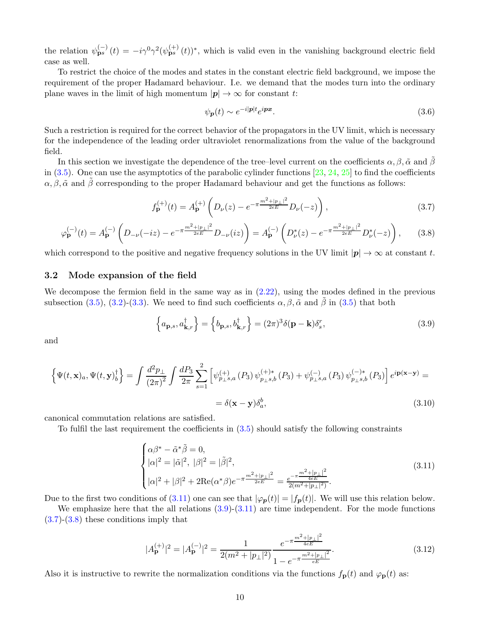the relation  $\psi_{\mathbf{p}s}^{(-)}(t) = -i\gamma^0\gamma^2(\psi_{\mathbf{p}s}^{(+)}(t))^*$ , which is valid even in the vanishing background electric field case as well.

To restrict the choice of the modes and states in the constant electric field background, we impose the requirement of the proper Hadamard behaviour. I.e. we demand that the modes turn into the ordinary plane waves in the limit of high momentum  $|\mathbf{p}| \to \infty$  for constant t:

$$
\psi_{\mathbf{p}}(t) \sim e^{-i|\mathbf{p}|t} e^{i\mathbf{p}x}.\tag{3.6}
$$

Such a restriction is required for the correct behavior of the propagators in the UV limit, which is necessary for the independence of the leading order ultraviolet renormalizations from the value of the background field.

In this section we investigate the dependence of the tree–level current on the coefficients  $\alpha, \beta, \tilde{\alpha}$  and  $\beta$ in  $(3.5)$ . One can use the asymptotics of the parabolic cylinder functions  $[23, 24, 25]$  $[23, 24, 25]$  $[23, 24, 25]$  $[23, 24, 25]$  to find the coefficients  $\alpha, \beta, \tilde{\alpha}$  and  $\beta$  corresponding to the proper Hadamard behaviour and get the functions as follows:

<span id="page-9-3"></span>
$$
f_{\mathbf{p}}^{(+)}(t) = A_{\mathbf{p}}^{(+)}\left(D_{\nu}(z) - e^{-\pi \frac{m^{2}+|\mathbf{p}_{\perp}|^{2}}{2eE}} D_{\nu}(-z)\right),
$$
\n(3.7)

<span id="page-9-4"></span>
$$
\varphi_{\mathbf{p}}^{(-)}(t) = A_{\mathbf{p}}^{(-)}\left(D_{-\nu}(-iz) - e^{-\pi \frac{m^2 + |p_{\perp}|^2}{2eE}} D_{-\nu}(iz)\right) = A_{\mathbf{p}}^{(-)}\left(D_{\nu}^*(z) - e^{-\pi \frac{m^2 + |p_{\perp}|^2}{2eE}} D_{\nu}^*(-z)\right),\tag{3.8}
$$

which correspond to the positive and negative frequency solutions in the UV limit  $|p| \to \infty$  at constant t.

## <span id="page-9-0"></span>3.2 Mode expansion of the field

We decompose the fermion field in the same way as in  $(2.22)$ , using the modes defined in the previous subsection [\(3.5\)](#page-8-3), [\(3.2\)](#page-8-4)-[\(3.3\)](#page-8-5). We need to find such coefficients  $\alpha, \beta, \tilde{\alpha}$  and  $\tilde{\beta}$  in (3.5) that both

<span id="page-9-2"></span>
$$
\left\{ a_{\mathbf{p},s}, a_{\mathbf{k},r}^{\dagger} \right\} = \left\{ b_{\mathbf{p},s}, b_{\mathbf{k},r}^{\dagger} \right\} = (2\pi)^3 \delta(\mathbf{p} - \mathbf{k}) \delta_s^r, \tag{3.9}
$$

and

$$
\left\{\Psi(t, \mathbf{x})_a, \Psi(t, \mathbf{y})_b^{\dagger}\right\} = \int \frac{d^2 p_{\perp}}{(2\pi)^2} \int \frac{dP_3}{2\pi} \sum_{s=1}^2 \left[\psi_{p_{\perp}s,a}^{(+)}(P_3)\psi_{p_{\perp}s,b}^{(+)*}(P_3) + \psi_{p_{\perp}s,a}^{(-)}(P_3)\psi_{p_{\perp}s,b}^{(-)*}(P_3)\right] e^{i\mathbf{p}(\mathbf{x}-\mathbf{y})} =
$$

$$
= \delta(\mathbf{x}-\mathbf{y})\delta_a^b,
$$
(3.10)

canonical commutation relations are satisfied.

To fulfil the last requirement the coefficients in [\(3.5\)](#page-8-3) should satisfy the following constraints

<span id="page-9-1"></span>
$$
\begin{cases}\n\alpha\beta^* - \tilde{\alpha}^*\tilde{\beta} = 0, \\
|\alpha|^2 = |\tilde{\alpha}|^2, \ |\beta|^2 = |\tilde{\beta}|^2, \\
|\alpha|^2 + |\beta|^2 + 2\text{Re}(\alpha^*\beta)e^{-\pi\frac{m^2 + |p_\perp|^2}{2eE}} = \frac{e^{-\pi\frac{m^2 + |p_\perp|^2}{4eE}}}{2(m^2 + |p_\perp|^2)}.\n\end{cases} (3.11)
$$

Due to the first two conditions of [\(3.11\)](#page-9-1) one can see that  $|\varphi_{\bf p}(t)| = |f_{\bf p}(t)|$ . We will use this relation below.

We emphasize here that the all relations  $(3.9)-(3.11)$  $(3.9)-(3.11)$  are time independent. For the mode functions [\(3.7\)](#page-9-3)-[\(3.8\)](#page-9-4) these conditions imply that

$$
|A_{\mathbf{p}}^{(+)}|^2 = |A_{\mathbf{p}}^{(-)}|^2 = \frac{1}{2(m^2 + |p_{\perp}|^2)} \frac{e^{-\pi \frac{m^2 + |p_{\perp}|^2}{4eE}}}{1 - e^{-\pi \frac{m^2 + |p_{\perp}|^2}{eE}}}.
$$
(3.12)

Also it is instructive to rewrite the normalization conditions via the functions  $f_{\mathbf{p}}(t)$  and  $\varphi_{\mathbf{p}}(t)$  as: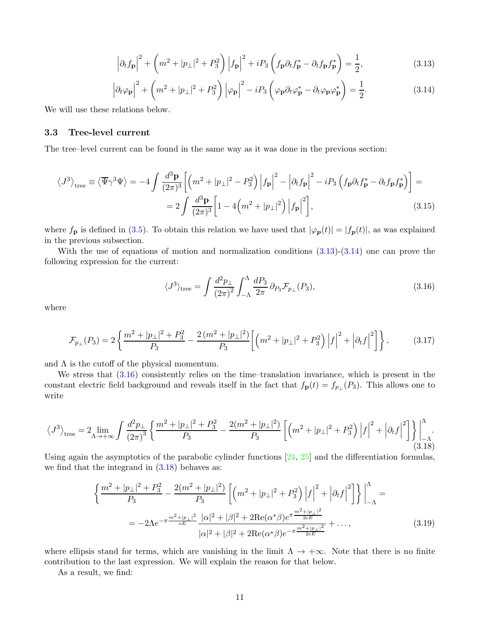<span id="page-10-1"></span>
$$
\left|\partial_t f_\mathbf{p}\right|^2 + \left(m^2 + |p_\perp|^2 + P_3^2\right) \left|f_\mathbf{p}\right|^2 + i P_3 \left(f_\mathbf{p}\partial_t f_\mathbf{p}^* - \partial_t f_\mathbf{p} f_\mathbf{p}^*\right) = \frac{1}{2},\tag{3.13}
$$

<span id="page-10-2"></span>
$$
\left|\partial_t \varphi_{\mathbf{p}}\right|^2 + \left(m^2 + |p_\perp|^2 + P_3^2\right) \left|\varphi_{\mathbf{p}}\right|^2 - i P_3 \left(\varphi_{\mathbf{p}} \partial_t \varphi_{\mathbf{p}}^* - \partial_t \varphi_{\mathbf{p}} \varphi_{\mathbf{p}}^*\right) = \frac{1}{2}.\tag{3.14}
$$

<span id="page-10-0"></span>We will use these relations below.

### 3.3 Tree-level current

The tree–level current can be found in the same way as it was done in the previous section:

$$
\langle J^3 \rangle_{\text{tree}} \equiv \langle \overline{\Psi} \gamma^3 \Psi \rangle = -4 \int \frac{d^3 \mathbf{p}}{(2\pi)^3} \left[ \left( m^2 + |p_\perp|^2 - P_3^2 \right) \left| f_\mathbf{p} \right|^2 - \left| \partial_t f_\mathbf{p} \right|^2 - i P_3 \left( f_\mathbf{p} \partial_t f_\mathbf{p}^* - \partial_t f_\mathbf{p} f_\mathbf{p}^* \right) \right] =
$$
  
= 
$$
2 \int \frac{d^3 \mathbf{p}}{(2\pi)^3} \left[ 1 - 4 \left( m^2 + |p_\perp|^2 \right) \left| f_\mathbf{p} \right|^2 \right],
$$
 (3.15)

where  $f_{\bf p}$  is defined in [\(3.5\)](#page-8-3). To obtain this relation we have used that  $|\varphi_{\bf p}(t)| = |f_{\bf p}(t)|$ , as was explained in the previous subsection.

With the use of equations of motion and normalization conditions [\(3.13\)](#page-10-1)-[\(3.14\)](#page-10-2) one can prove the following expression for the current:

<span id="page-10-3"></span>
$$
\langle J^3 \rangle_{\text{tree}} = \int \frac{d^2 p_\perp}{(2\pi)^2} \int_{-\Lambda}^{\Lambda} \frac{dP_3}{2\pi} \, \partial_{P_3} \mathcal{F}_{p_\perp}(P_3),\tag{3.16}
$$

where

$$
\mathcal{F}_{p_{\perp}}(P_3) = 2\left\{\frac{m^2 + |p_{\perp}|^2 + P_3^2}{P_3} - \frac{2\left(m^2 + |p_{\perp}|^2\right)}{P_3}\left[\left(m^2 + |p_{\perp}|^2 + P_3^2\right)\left|f\right|^2 + \left|\partial_t f\right|^2\right]\right\},\tag{3.17}
$$

and  $\Lambda$  is the cutoff of the physical momentum.

We stress that  $(3.16)$  consistently relies on the time–translation invariance, which is present in the constant electric field background and reveals itself in the fact that  $f_{\mathbf{p}}(t) = f_{p\perp}(P_3)$ . This allows one to write

<span id="page-10-4"></span>
$$
\langle J^3 \rangle_{\text{tree}} = 2 \lim_{\Lambda \to +\infty} \int \frac{d^2 p_\perp}{(2\pi)^3} \left\{ \frac{m^2 + |p_\perp|^2 + P_3^2}{P_3} - \frac{2(m^2 + |p_\perp|^2)}{P_3} \left[ \left( m^2 + |p_\perp|^2 + P_3^2 \right) \left| f \right|^2 + \left| \partial_t f \right|^2 \right] \right\} \Big|_{-\Lambda}^{\Lambda} . \tag{3.18}
$$

Using again the asymptotics of the parabolic cylinder functions  $[24, 25]$  $[24, 25]$  and the differentiation formulas, we find that the integrand in  $(3.18)$  behaves as:

$$
\left\{\frac{m^2+|p_\perp|^2+P_3^2}{P_3}-\frac{2(m^2+|p_\perp|^2)}{P_3}\left[\left(m^2+|p_\perp|^2+P_3^2\right)|f|^2+\left|\partial_t f\right|^2\right]\right\}\Big|_{-\Lambda}^{\Lambda}=
$$
  
=-2\Lambda e^{-\pi\frac{m^2+|p\_\perp|^2}{eE}}\frac{|\alpha|^2+|\beta|^2+2\text{Re}(\alpha^\*)e^{\pi\frac{m^2+|p\_\perp|^2}{2eE}}}{|\alpha|^2+|\beta|^2+2\text{Re}(\alpha^\*)e^{-\pi\frac{m^2+|p\_\perp|^2}{2eE}}+..., \tag{3.19}

where ellipsis stand for terms, which are vanishing in the limit  $\Lambda \to +\infty$ . Note that there is no finite contribution to the last expression. We will explain the reason for that below.

As a result, we find: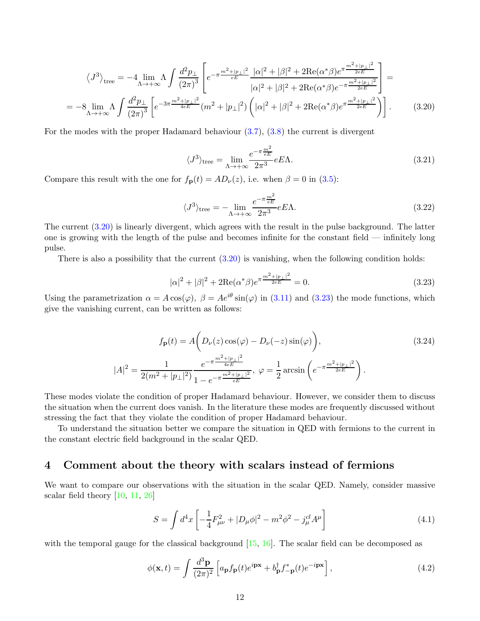$$
\langle J^3 \rangle_{\text{tree}} = -4 \lim_{\Lambda \to +\infty} \Lambda \int \frac{d^2 p_{\perp}}{(2\pi)^3} \left[ e^{-\pi \frac{m^2 + |p_{\perp}|^2}{eE}} \frac{|\alpha|^2 + |\beta|^2 + 2 \text{Re}(\alpha^* \beta) e^{\pi \frac{m^2 + |p_{\perp}|^2}{2eE}}}{|\alpha|^2 + |\beta|^2 + 2 \text{Re}(\alpha^* \beta) e^{-\pi \frac{m^2 + |p_{\perp}|^2}{2eE}}} \right] = -8 \lim_{\Lambda \to +\infty} \Lambda \int \frac{d^2 p_{\perp}}{(2\pi)^3} \left[ e^{-3\pi \frac{m^2 + |p_{\perp}|^2}{4eE}} (m^2 + |p_{\perp}|^2) \left( |\alpha|^2 + |\beta|^2 + 2 \text{Re}(\alpha^* \beta) e^{\pi \frac{m^2 + |p_{\perp}|^2}{2eE}} \right) \right]. \tag{3.20}
$$

For the modes with the proper Hadamard behaviour [\(3.7\)](#page-9-3), [\(3.8\)](#page-9-4) the current is divergent

<span id="page-11-1"></span>
$$
\langle J^3 \rangle_{\text{tree}} = \lim_{\Lambda \to +\infty} \frac{e^{-\pi \frac{m^2}{eE}}}{2\pi^3} eE\Lambda. \tag{3.21}
$$

Compare this result with the one for  $f_{\mathbf{p}}(t) = AD_{\nu}(z)$ , i.e. when  $\beta = 0$  in [\(3.5\)](#page-8-3):

$$
\langle J^3 \rangle_{\text{tree}} = -\lim_{\Lambda \to +\infty} \frac{e^{-\pi \frac{m^2}{eE}}}{2\pi^3} eE\Lambda. \tag{3.22}
$$

The current [\(3.20\)](#page-11-1) is linearly divergent, which agrees with the result in the pulse background. The latter one is growing with the length of the pulse and becomes infinite for the constant field — infinitely long pulse.

There is also a possibility that the current  $(3.20)$  is vanishing, when the following condition holds:

<span id="page-11-2"></span>
$$
|\alpha|^2 + |\beta|^2 + 2\text{Re}(\alpha^*)e^{\pi \frac{m^2 + |\mathbf{p}_\perp|^2}{2eE}} = 0.
$$
\n(3.23)

Using the parametrization  $\alpha = A \cos(\varphi)$ ,  $\beta = Ae^{i\theta} \sin(\varphi)$  in [\(3.11\)](#page-9-1) and [\(3.23\)](#page-11-2) the mode functions, which give the vanishing current, can be written as follows:

$$
f_{\mathbf{p}}(t) = A\left(D_{\nu}(z)\cos(\varphi) - D_{\nu}(-z)\sin(\varphi)\right),\tag{3.24}
$$

$$
|A|^2 = \frac{1}{2(m^2 + |p_{\perp}|^2)} \frac{e^{-\pi \frac{m^2 + |p_{\perp}|^2}{4eE}}}{1 - e^{-\pi \frac{m^2 + |p_{\perp}|^2}{eE}}}, \ \varphi = \frac{1}{2}\arcsin\left(e^{-\pi \frac{m^2 + |p_{\perp}|^2}{2eE}}\right).
$$

These modes violate the condition of proper Hadamard behaviour. However, we consider them to discuss the situation when the current does vanish. In the literature these modes are frequently discussed without stressing the fact that they violate the condition of proper Hadamard behaviour.

To understand the situation better we compare the situation in QED with fermions to the current in the constant electric field background in the scalar QED.

# <span id="page-11-0"></span>4 Comment about the theory with scalars instead of fermions

We want to compare our observations with the situation in the scalar QED. Namely, consider massive scalar field theory  $[10, 11, 26]$  $[10, 11, 26]$  $[10, 11, 26]$  $[10, 11, 26]$ 

$$
S = \int d^4x \left[ -\frac{1}{4} F_{\mu\nu}^2 + |D_\mu \phi|^2 - m^2 \phi^2 - j_\mu^{cl} A^\mu \right]
$$
(4.1)

with the temporal gauge for the classical background [\[15,](#page-17-9) [16\]](#page-17-10). The scalar field can be decomposed as

$$
\phi(\mathbf{x},t) = \int \frac{d^3 \mathbf{p}}{(2\pi)^2} \left[ a_{\mathbf{p}} f_{\mathbf{p}}(t) e^{i\mathbf{p}\mathbf{x}} + b_{\mathbf{p}}^\dagger f_{-\mathbf{p}}^*(t) e^{-i\mathbf{p}\mathbf{x}} \right],\tag{4.2}
$$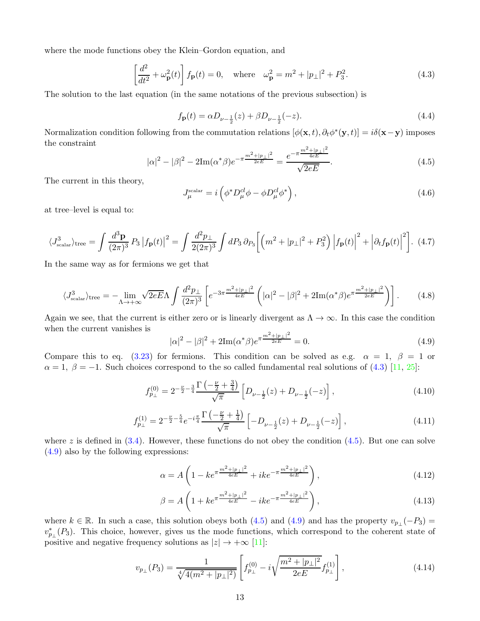where the mode functions obey the Klein–Gordon equation, and

<span id="page-12-0"></span>
$$
\left[\frac{d^2}{dt^2} + \omega_{\mathbf{p}}^2(t)\right] f_{\mathbf{p}}(t) = 0, \quad \text{where} \quad \omega_{\mathbf{p}}^2 = m^2 + |p_{\perp}|^2 + P_3^2. \tag{4.3}
$$

The solution to the last equation (in the same notations of the previous subsection) is

$$
f_{\mathbf{p}}(t) = \alpha D_{\nu - \frac{1}{2}}(z) + \beta D_{\nu - \frac{1}{2}}(-z).
$$
\n(4.4)

Normalization condition following from the commutation relations  $[\phi(\mathbf{x},t), \partial_t \phi^*(\mathbf{y},t)] = i\delta(\mathbf{x}-\mathbf{y})$  imposes the constraint

<span id="page-12-1"></span>
$$
|\alpha|^2 - |\beta|^2 - 2\mathrm{Im}(\alpha^*)e^{-\pi \frac{m^2 + |p_\perp|^2}{2eE}} = \frac{e^{-\pi \frac{m^2 + |p_\perp|^2}{4eE}}}{\sqrt{2eE}}.\tag{4.5}
$$

The current in this theory,

$$
J_{\mu}^{\text{scalar}} = i \left( \phi^* D_{\mu}^{cl} \phi - \phi D_{\mu}^{cl} \phi^* \right), \tag{4.6}
$$

at tree–level is equal to:

<span id="page-12-5"></span>
$$
\langle J_{\text{scalar}}^3 \rangle_{\text{tree}} = \int \frac{d^3 \mathbf{p}}{(2\pi)^3} P_3 |f_{\mathbf{p}}(t)|^2 = \int \frac{d^2 p_{\perp}}{2(2\pi)^3} \int dP_3 \, \partial_{P_3} \left[ \left( m^2 + |p_{\perp}|^2 + P_3^2 \right) \left| f_{\mathbf{p}}(t) \right|^2 + \left| \partial_t f_{\mathbf{p}}(t) \right|^2 \right]. \tag{4.7}
$$

In the same way as for fermions we get that

$$
\langle J_{\text{scalar}}^3 \rangle_{\text{tree}} = -\lim_{\Lambda \to +\infty} \sqrt{2eE\Lambda} \int \frac{d^2 p_{\perp}}{(2\pi)^3} \left[ e^{-3\pi \frac{m^2 + |p_{\perp}|^2}{4eE}} \left( |\alpha|^2 - |\beta|^2 + 2\mathrm{Im}(\alpha^*) e^{\pi \frac{m^2 + |p_{\perp}|^2}{2eE}} \right) \right]. \tag{4.8}
$$

Again we see, that the current is either zero or is linearly divergent as  $\Lambda \to \infty$ . In this case the condition when the current vanishes is

<span id="page-12-2"></span>
$$
|\alpha|^2 - |\beta|^2 + 2\mathrm{Im}(\alpha^*)e^{\pi \frac{m^2 + |\mathbf{p}_\perp|^2}{2eE}} = 0.
$$
\n(4.9)

Compare this to eq. [\(3.23\)](#page-11-2) for fermions. This condition can be solved as e.g.  $\alpha = 1, \beta = 1$  or  $\alpha = 1, \beta = -1.$  Such choices correspond to the so called fundamental real solutions of [\(4.3\)](#page-12-0) [\[11,](#page-17-5) [25\]](#page-18-3):

$$
f_{p_{\perp}}^{(0)} = 2^{-\frac{\nu}{2} - \frac{3}{4}} \frac{\Gamma\left(-\frac{\nu}{2} + \frac{3}{4}\right)}{\sqrt{\pi}} \left[D_{\nu - \frac{1}{2}}(z) + D_{\nu - \frac{1}{2}}(-z)\right],\tag{4.10}
$$

$$
f_{p_{\perp}}^{(1)} = 2^{-\frac{\nu}{2} - \frac{5}{4}} e^{-i\frac{\pi}{4}} \frac{\Gamma\left(-\frac{\nu}{2} + \frac{1}{4}\right)}{\sqrt{\pi}} \left[ -D_{\nu - \frac{1}{2}}(z) + D_{\nu - \frac{1}{2}}(-z) \right],\tag{4.11}
$$

where z is defined in  $(3.4)$ . However, these functions do not obey the condition  $(4.5)$ . But one can solve [\(4.9\)](#page-12-2) also by the following expressions:

<span id="page-12-3"></span>
$$
\alpha = A \left( 1 - ke^{\pi \frac{m^2 + |p_+|^2}{4eE}} + ike^{-\pi \frac{m^2 + |p_+|^2}{4eE}} \right),\tag{4.12}
$$

<span id="page-12-4"></span>
$$
\beta = A \left( 1 + ke^{\pi \frac{m^2 + |p_\perp|^2}{4eE}} - ike^{-\pi \frac{m^2 + |p_\perp|^2}{4eE}} \right),\tag{4.13}
$$

where  $k \in \mathbb{R}$ . In such a case, this solution obeys both [\(4.5\)](#page-12-1) and [\(4.9\)](#page-12-2) and has the property  $v_{p\perp}(-P_3) =$  $v_{p_{\perp}}^{*}(P_{3})$ . This choice, however, gives us the mode functions, which correspond to the coherent state of positive and negative frequency solutions as  $|z| \to +\infty$  [\[11\]](#page-17-5):

$$
v_{p_{\perp}}(P_3) = \frac{1}{\sqrt[4]{4(m^2 + |p_{\perp}|^2)}} \left[ f_{p_{\perp}}^{(0)} - i\sqrt{\frac{m^2 + |p_{\perp}|^2}{2eE}} f_{p_{\perp}}^{(1)} \right],
$$
\n(4.14)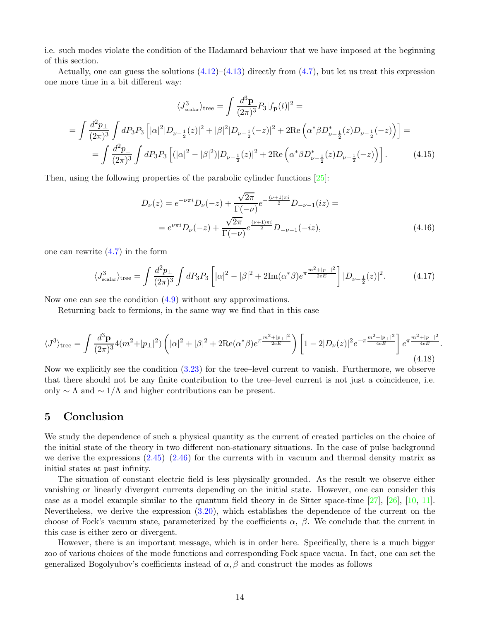i.e. such modes violate the condition of the Hadamard behaviour that we have imposed at the beginning of this section.

Actually, one can guess the solutions  $(4.12)$ – $(4.13)$  directly from  $(4.7)$ , but let us treat this expression one more time in a bit different way:

$$
\langle J_{\text{scalar}}^{3} \rangle_{\text{tree}} = \int \frac{d^{3} \mathbf{p}}{(2\pi)^{3}} P_{3} |f_{\mathbf{p}}(t)|^{2} =
$$
  
= 
$$
\int \frac{d^{2} p_{\perp}}{(2\pi)^{3}} \int dP_{3} P_{3} \left[ |\alpha|^{2} |D_{\nu-\frac{1}{2}}(z)|^{2} + |\beta|^{2} |D_{\nu-\frac{1}{2}}(-z)|^{2} + 2 \text{Re} \left( \alpha^{*} \beta D_{\nu-\frac{1}{2}}^{*}(z) D_{\nu-\frac{1}{2}}(-z) \right) \right] =
$$
  
= 
$$
\int \frac{d^{2} p_{\perp}}{(2\pi)^{3}} \int dP_{3} P_{3} \left[ (|\alpha|^{2} - |\beta|^{2}) |D_{\nu-\frac{1}{2}}(z)|^{2} + 2 \text{Re} \left( \alpha^{*} \beta D_{\nu-\frac{1}{2}}^{*}(z) D_{\nu-\frac{1}{2}}(-z) \right) \right].
$$
 (4.15)

Then, using the following properties of the parabolic cylinder functions [\[25\]](#page-18-3):

$$
D_{\nu}(z) = e^{-\nu \pi i} D_{\nu}(-z) + \frac{\sqrt{2\pi}}{\Gamma(-\nu)} e^{-\frac{(\nu+1)\pi i}{2}} D_{-\nu-1}(iz) =
$$
  
=  $e^{\nu \pi i} D_{\nu}(-z) + \frac{\sqrt{2\pi}}{\Gamma(-\nu)} e^{\frac{(\nu+1)\pi i}{2}} D_{-\nu-1}(-iz),$  (4.16)

one can rewrite [\(4.7\)](#page-12-5) in the form

$$
\langle J_{\text{scalar}}^3 \rangle_{\text{tree}} = \int \frac{d^2 p_\perp}{(2\pi)^3} \int dP_3 P_3 \left[ |\alpha|^2 - |\beta|^2 + 2\text{Im}(\alpha^* \beta) e^{\pi \frac{m^2 + |p_\perp|^2}{2eE}} \right] |D_{\nu - \frac{1}{2}}(z)|^2. \tag{4.17}
$$

Now one can see the condition [\(4.9\)](#page-12-2) without any approximations.

Returning back to fermions, in the same way we find that in this case

$$
\langle J^3 \rangle_{\text{tree}} = \int \frac{d^3 \mathbf{p}}{(2\pi)^3} 4(m^2 + |p_\perp|^2) \left( |\alpha|^2 + |\beta|^2 + 2 \text{Re}(\alpha^*) e^{\pi \frac{m^2 + |p_\perp|^2}{2eE}} \right) \left[ 1 - 2|D_\nu(z)|^2 e^{-\pi \frac{m^2 + |p_\perp|^2}{4eE}} \right] e^{\pi \frac{m^2 + |p_\perp|^2}{4eE}}.
$$
\n(4.18)

Now we explicitly see the condition [\(3.23\)](#page-11-2) for the tree–level current to vanish. Furthermore, we observe that there should not be any finite contribution to the tree–level current is not just a coincidence, i.e. only  $\sim \Lambda$  and  $\sim 1/\Lambda$  and higher contributions can be present.

## <span id="page-13-0"></span>5 Conclusion

We study the dependence of such a physical quantity as the current of created particles on the choice of the initial state of the theory in two different non-stationary situations. In the case of pulse background we derive the expressions  $(2.45)-(2.46)$  $(2.45)-(2.46)$  for the currents with in–vacuum and thermal density matrix as initial states at past infinity.

The situation of constant electric field is less physically grounded. As the result we observe either vanishing or linearly divergent currents depending on the initial state. However, one can consider this case as a model example similar to the quantum field theory in de Sitter space-time [\[27\]](#page-18-5), [\[26\]](#page-18-4), [\[10,](#page-17-4) [11\]](#page-17-5). Nevertheless, we derive the expression  $(3.20)$ , which establishes the dependence of the current on the choose of Fock's vacuum state, parameterized by the coefficients  $\alpha$ ,  $\beta$ . We conclude that the current in this case is either zero or divergent.

However, there is an important message, which is in order here. Specifically, there is a much bigger zoo of various choices of the mode functions and corresponding Fock space vacua. In fact, one can set the generalized Bogolyubov's coefficients instead of  $\alpha$ ,  $\beta$  and construct the modes as follows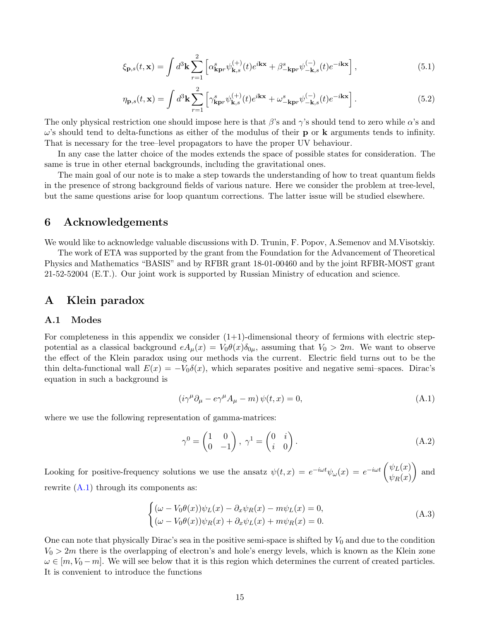$$
\xi_{\mathbf{p},s}(t,\mathbf{x}) = \int d^3 \mathbf{k} \sum_{r=1}^2 \left[ \alpha_{\mathbf{k}\mathbf{p}r}^s \psi_{\mathbf{k},s}^{(+)}(t) e^{i\mathbf{k}\mathbf{x}} + \beta_{-\mathbf{k}\mathbf{p}r}^s \psi_{-\mathbf{k},s}^{(-)}(t) e^{-i\mathbf{k}\mathbf{x}} \right],\tag{5.1}
$$

$$
\eta_{\mathbf{p},s}(t,\mathbf{x}) = \int d^3 \mathbf{k} \sum_{r=1}^2 \left[ \gamma_{\mathbf{k}\mathbf{p}r}^s \psi_{\mathbf{k},s}^{(+)}(t) e^{i\mathbf{k}\mathbf{x}} + \omega_{-\mathbf{k}\mathbf{p}r}^s \psi_{-\mathbf{k},s}^{(-)}(t) e^{-i\mathbf{k}\mathbf{x}} \right]. \tag{5.2}
$$

The only physical restriction one should impose here is that  $\beta$ 's and  $\gamma$ 's should tend to zero while  $\alpha$ 's and  $\omega$ 's should tend to delta-functions as either of the modulus of their **p** or **k** arguments tends to infinity. That is necessary for the tree–level propagators to have the proper UV behaviour.

In any case the latter choice of the modes extends the space of possible states for consideration. The same is true in other eternal backgrounds, including the gravitational ones.

The main goal of our note is to make a step towards the understanding of how to treat quantum fields in the presence of strong background fields of various nature. Here we consider the problem at tree-level, but the same questions arise for loop quantum corrections. The latter issue will be studied elsewhere.

## <span id="page-14-0"></span>6 Acknowledgements

We would like to acknowledge valuable discussions with D. Trunin, F. Popov, A.Semenov and M.Visotskiy.

The work of ETA was supported by the grant from the Foundation for the Advancement of Theoretical Physics and Mathematics "BASIS" and by RFBR grant 18-01-00460 and by the joint RFBR-MOST grant 21-52-52004 (E.T.). Our joint work is supported by Russian Ministry of education and science.

## <span id="page-14-2"></span><span id="page-14-1"></span>A Klein paradox

### A.1 Modes

For completeness in this appendix we consider  $(1+1)$ -dimensional theory of fermions with electric steppotential as a classical background  $eA_\mu(x) = V_0\theta(x)\delta_{0\mu}$ , assuming that  $V_0 > 2m$ . We want to observe the effect of the Klein paradox using our methods via the current. Electric field turns out to be the thin delta-functional wall  $E(x) = -V_0 \delta(x)$ , which separates positive and negative semi–spaces. Dirac's equation in such a background is

<span id="page-14-3"></span>
$$
(i\gamma^{\mu}\partial_{\mu} - e\gamma^{\mu}A_{\mu} - m)\psi(t, x) = 0,
$$
\n(A.1)

where we use the following representation of gamma-matrices:

$$
\gamma^0 = \begin{pmatrix} 1 & 0 \\ 0 & -1 \end{pmatrix}, \ \gamma^1 = \begin{pmatrix} 0 & i \\ i & 0 \end{pmatrix}.
$$
 (A.2)

Looking for positive-frequency solutions we use the ansatz  $\psi(t,x) = e^{-i\omega t} \psi_{\omega}(x) = e^{-i\omega t} \begin{pmatrix} \psi_L(x) \\ \psi_R(x) \end{pmatrix}$  $\psi_R(x)$ ) and rewrite  $(A.1)$  through its components as:

<span id="page-14-4"></span>
$$
\begin{cases}\n(\omega - V_0 \theta(x)) \psi_L(x) - \partial_x \psi_R(x) - m \psi_L(x) = 0, \\
(\omega - V_0 \theta(x)) \psi_R(x) + \partial_x \psi_L(x) + m \psi_R(x) = 0.\n\end{cases}
$$
\n(A.3)

One can note that physically Dirac's sea in the positive semi-space is shifted by  $V_0$  and due to the condition  $V_0 > 2m$  there is the overlapping of electron's and hole's energy levels, which is known as the Klein zone  $\omega \in [m, V_0 - m]$ . We will see below that it is this region which determines the current of created particles. It is convenient to introduce the functions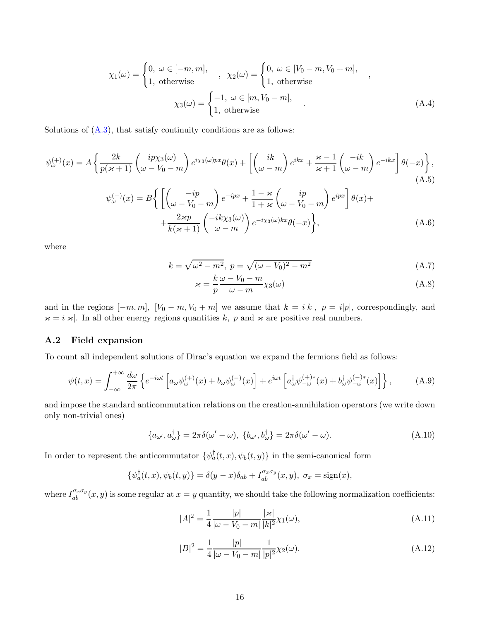$$
\chi_1(\omega) = \begin{cases} 0, & \omega \in [-m, m], \\ 1, & \text{otherwise} \end{cases}, \quad \chi_2(\omega) = \begin{cases} 0, & \omega \in [V_0 - m, V_0 + m], \\ 1, & \text{otherwise} \end{cases},
$$

$$
\chi_3(\omega) = \begin{cases} -1, & \omega \in [m, V_0 - m], \\ 1, & \text{otherwise} \end{cases} (A.4)
$$

Solutions of  $(A.3)$ , that satisfy continuity conditions are as follows:

$$
\psi_{\omega}^{(+)}(x) = A \left\{ \frac{2k}{p(\varkappa+1)} \begin{pmatrix} ip\chi_{3}(\omega) \\ \omega - V_{0} - m \end{pmatrix} e^{i\chi_{3}(\omega)px} \theta(x) + \left[ \begin{pmatrix} ik \\ \omega - m \end{pmatrix} e^{ikx} + \frac{\varkappa-1}{\varkappa+1} \begin{pmatrix} -ik \\ \omega - m \end{pmatrix} e^{-ikx} \right] \theta(-x) \right\},
$$
\n(A.5)\n
$$
\psi_{\omega}^{(-)}(x) = B \left\{ \left[ \begin{pmatrix} -ip \\ \omega - V_{0} - m \end{pmatrix} e^{-ipx} + \frac{1-\varkappa}{1+\varkappa} \begin{pmatrix} ip \\ \omega - V_{0} - m \end{pmatrix} e^{ipx} \right] \theta(x) + \frac{2\varkappa p}{k(\varkappa+1)} \begin{pmatrix} -ik\chi_{3}(\omega) \\ \omega - m \end{pmatrix} e^{-i\chi_{3}(\omega)kx} \theta(-x) \right\},
$$
\n(A.6)

where

$$
k = \sqrt{\omega^2 - m^2}, \ p = \sqrt{(\omega - V_0)^2 - m^2}
$$
 (A.7)

$$
\varkappa = \frac{k}{p} \frac{\omega - V_0 - m}{\omega - m} \chi_3(\omega) \tag{A.8}
$$

and in the regions  $[-m, m]$ ,  $[V_0 - m, V_0 + m]$  we assume that  $k = i|k|$ ,  $p = i|p|$ , correspondingly, and  $\varkappa = i|\varkappa|$ . In all other energy regions quantities k, p and  $\varkappa$  are positive real numbers.

## <span id="page-15-0"></span>A.2 Field expansion

To count all independent solutions of Dirac's equation we expand the fermions field as follows:

<span id="page-15-1"></span>
$$
\psi(t,x) = \int_{-\infty}^{+\infty} \frac{d\omega}{2\pi} \left\{ e^{-i\omega t} \left[ a_{\omega} \psi_{\omega}^{(+)}(x) + b_{\omega} \psi_{\omega}^{(-)}(x) \right] + e^{i\omega t} \left[ a_{\omega}^{\dagger} \psi_{-\omega}^{(+)}{}^*(x) + b_{\omega}^{\dagger} \psi_{-\omega}^{(-)}{}^*(x) \right] \right\},\tag{A.9}
$$

and impose the standard anticommutation relations on the creation-annihilation operators (we write down only non-trivial ones)

$$
\{a_{\omega'}, a_{\omega}^{\dagger}\} = 2\pi \delta(\omega' - \omega), \quad \{b_{\omega'}, b_{\omega}^{\dagger}\} = 2\pi \delta(\omega' - \omega). \tag{A.10}
$$

In order to represent the anticommutator  $\{\psi_a^{\dagger}(t,x), \psi_b(t,y)\}\$  in the semi-canonical form

$$
\{\psi_a^{\dagger}(t,x),\psi_b(t,y)\} = \delta(y-x)\delta_{ab} + I_{ab}^{\sigma_x\sigma_y}(x,y), \ \sigma_x = \text{sign}(x),
$$

where  $I_{ab}^{\sigma_x \sigma_y}(x, y)$  is some regular at  $x = y$  quantity, we should take the following normalization coefficients:

$$
|A|^2 = \frac{1}{4} \frac{|p|}{|\omega - V_0 - m|} \frac{|\varkappa|}{|k|^2} \chi_1(\omega),
$$
\n(A.11)

$$
|B|^2 = \frac{1}{4} \frac{|p|}{|\omega - V_0 - m|} \frac{1}{|p|^2} \chi_2(\omega).
$$
 (A.12)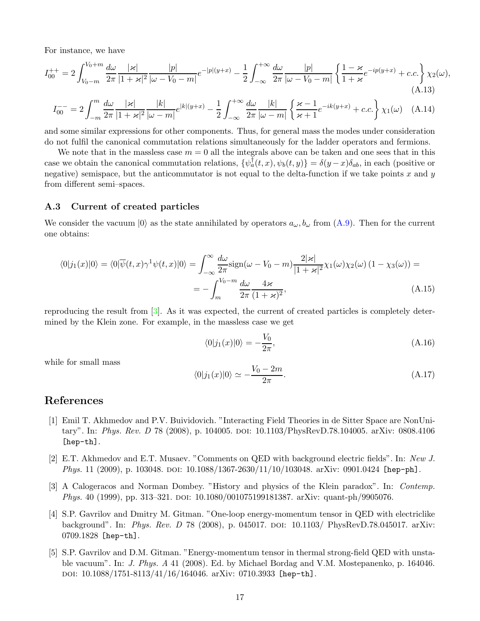For instance, we have

$$
I_{00}^{++} = 2 \int_{V_0 - m}^{V_0 + m} \frac{d\omega}{2\pi} \frac{|\varkappa|}{|1 + \varkappa|^2} \frac{|p|}{|\omega - V_0 - m|} e^{-|p|(y+x)} - \frac{1}{2} \int_{-\infty}^{+\infty} \frac{d\omega}{2\pi} \frac{|p|}{|\omega - V_0 - m|} \left\{ \frac{1 - \varkappa}{1 + \varkappa} e^{-ip(y+x)} + c.c. \right\} \chi_2(\omega),\tag{A.13}
$$

$$
I_{00}^{-} = 2 \int_{-\infty}^{\infty} \frac{d\omega}{2\pi} \frac{|\varkappa|}{|1 + \varkappa|^2} \frac{|k|}{|\omega - m|} e^{|k|(y+x)} - \frac{1}{2} \int_{-\infty}^{+\infty} \frac{d\omega}{2\pi} \frac{|k|}{|\omega - m|} \left\{ \frac{\varkappa - 1}{\varkappa + 1} e^{-ik(y+x)} + c.c. \right\} \chi_1(\omega) \tag{A.14}
$$

and some similar expressions for other components. Thus, for general mass the modes under consideration do not fulfil the canonical commutation relations simultaneously for the ladder operators and fermions.

We note that in the massless case  $m = 0$  all the integrals above can be taken and one sees that in this case we obtain the canonical commutation relations,  $\{\psi_a^{\dagger}(t,x), \psi_b(t,y)\} = \delta(y-x)\delta_{ab}$ , in each (positive or negative) semispace, but the anticommutator is not equal to the delta-function if we take points x and y from different semi–spaces.

## <span id="page-16-0"></span>A.3 Current of created particles

We consider the vacuum  $|0\rangle$  as the state annihilated by operators  $a_{\omega}, b_{\omega}$  from  $(A.9)$ . Then for the current one obtains:

$$
\langle 0|j_1(x)|0\rangle = \langle 0|\overline{\psi}(t,x)\gamma^1\psi(t,x)|0\rangle = \int_{-\infty}^{\infty} \frac{d\omega}{2\pi} \text{sign}(\omega - V_0 - m) \frac{2|\varkappa|}{|1 + \varkappa|^2} \chi_1(\omega)\chi_2(\omega) (1 - \chi_3(\omega)) =
$$
  
= 
$$
-\int_{m}^{V_0 - m} \frac{d\omega}{2\pi} \frac{4\varkappa}{(1 + \varkappa)^2},
$$
(A.15)

reproducing the result from [\[3\]](#page-16-3). As it was expected, the current of created particles is completely determined by the Klein zone. For example, in the massless case we get

$$
\langle 0|j_1(x)|0\rangle = -\frac{V_0}{2\pi},\tag{A.16}
$$

while for small mass

$$
\langle 0|j_1(x)|0\rangle \simeq -\frac{V_0 - 2m}{2\pi}.\tag{A.17}
$$

# <span id="page-16-1"></span>References

- [1] Emil T. Akhmedov and P.V. Buividovich. "Interacting Field Theories in de Sitter Space are NonUnitary". In: Phys. Rev. D 78 (2008), p. 104005. DOI: 10.1103/PhysRevD.78.104005. arXiv: 0808.4106 [hep-th].
- <span id="page-16-2"></span>[2] E.T. Akhmedov and E.T. Musaev. "Comments on QED with background electric fields". In: New J. *Phys.* 11 (2009), p. 103048. doi: 10.1088/1367-2630/11/10/103048. arXiv: 0901.0424 [hep-ph].
- <span id="page-16-3"></span>[3] A Calogeracos and Norman Dombey. "History and physics of the Klein paradox". In: Contemp. Phys. 40 (1999), pp. 313–321. doi: 10.1080/001075199181387. arXiv: quant-ph/9905076.
- <span id="page-16-4"></span>[4] S.P. Gavrilov and Dmitry M. Gitman. "One-loop energy-momentum tensor in QED with electriclike background". In: *Phys. Rev. D* 78 (2008), p. 045017. DOI: 10.1103/ PhysRevD.78.045017. arXiv: 0709.1828 [hep-th].
- <span id="page-16-5"></span>[5] S.P. Gavrilov and D.M. Gitman. "Energy-momentum tensor in thermal strong-field QED with unstable vacuum". In: J. Phys. A 41 (2008). Ed. by Michael Bordag and V.M. Mostepanenko, p. 164046. doi: 10.1088/1751-8113/41/16/164046. arXiv: 0710.3933 [hep-th].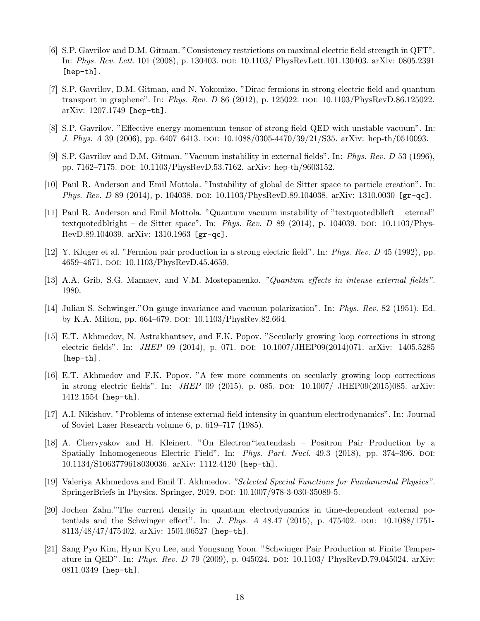- <span id="page-17-0"></span>[6] S.P. Gavrilov and D.M. Gitman. "Consistency restrictions on maximal electric field strength in QFT". In: Phys. Rev. Lett. 101 (2008), p. 130403. doi: 10.1103/ PhysRevLett.101.130403. arXiv: 0805.2391 [hep-th].
- <span id="page-17-1"></span>[7] S.P. Gavrilov, D.M. Gitman, and N. Yokomizo. "Dirac fermions in strong electric field and quantum transport in graphene". In: *Phys. Rev. D* 86 (2012), p. 125022. poi: 10.1103/PhysRevD.86.125022. arXiv: 1207.1749 [hep-th].
- <span id="page-17-3"></span><span id="page-17-2"></span>[8] S.P. Gavrilov. "Effective energy-momentum tensor of strong-field QED with unstable vacuum". In: J. Phys. A 39 (2006), pp. 6407–6413. DOI: 10.1088/0305-4470/39/21/S35. arXiv: hep-th/0510093.
- <span id="page-17-4"></span>[9] S.P. Gavrilov and D.M. Gitman. "Vacuum instability in external fields". In: Phys. Rev. D 53 (1996), pp. 7162–7175. doi: 10.1103/PhysRevD.53.7162. arXiv: hep-th/9603152.
- <span id="page-17-5"></span>[10] Paul R. Anderson and Emil Mottola. "Instability of global de Sitter space to particle creation". In: Phys. Rev. D 89 (2014), p. 104038. doi: 10.1103/PhysRevD.89.104038. arXiv: 1310.0030 [gr-qc].
- [11] Paul R. Anderson and Emil Mottola. "Quantum vacuum instability of "textquotedblleft eternal" textquotedblright – de Sitter space". In: Phys. Rev. D 89 (2014), p. 104039. DOI: 10.1103/Phys-RevD.89.104039. arXiv: 1310.1963 [gr-qc].
- <span id="page-17-7"></span><span id="page-17-6"></span>[12] Y. Kluger et al. "Fermion pair production in a strong electric field". In: Phys. Rev. D 45 (1992), pp. 4659–4671. doi: 10.1103/PhysRevD.45.4659.
- <span id="page-17-8"></span>[13] A.A. Grib, S.G. Mamaev, and V.M. Mostepanenko. "Quantum effects in intense external fields". 1980.
- <span id="page-17-9"></span>[14] Julian S. Schwinger."On gauge invariance and vacuum polarization". In: Phys. Rev. 82 (1951). Ed. by K.A. Milton, pp. 664–679. DOI: 10.1103/PhysRev.82.664.
- [15] E.T. Akhmedov, N. Astrakhantsev, and F.K. Popov. "Secularly growing loop corrections in strong electric fields". In: *JHEP* 09 (2014), p. 071. doi: 10.1007/JHEP09(2014)071. arXiv: 1405.5285 [hep-th].
- <span id="page-17-10"></span>[16] E.T. Akhmedov and F.K. Popov. "A few more comments on secularly growing loop corrections in strong electric fields". In: *JHEP* 09 (2015), p. 085. doi:  $10.1007/$  JHEP09(2015)085. arXiv: 1412.1554 [hep-th].
- <span id="page-17-11"></span>[17] A.I. Nikishov. "Problems of intense external-field intensity in quantum electrodynamics". In: Journal of Soviet Laser Research volume 6, p. 619–717 (1985).
- <span id="page-17-12"></span>[18] A. Chervyakov and H. Kleinert. "On Electron"textendash – Positron Pair Production by a Spatially Inhomogeneous Electric Field". In: *Phys. Part. Nucl.* 49.3 (2018), pp. 374–396. DOI: 10.1134/S1063779618030036. arXiv: 1112.4120 [hep-th].
- <span id="page-17-13"></span>[19] Valeriya Akhmedova and Emil T. Akhmedov. "Selected Special Functions for Fundamental Physics". SpringerBriefs in Physics. Springer, 2019. poi:  $10.1007/978-3-030-35089-5$ .
- <span id="page-17-14"></span>[20] Jochen Zahn."The current density in quantum electrodynamics in time-dependent external potentials and the Schwinger effect". In: *J. Phys. A*  $48.47$  (2015), p. 475402. doi: 10.1088/1751-8113/48/47/475402. arXiv: 1501.06527 [hep-th].
- <span id="page-17-15"></span>[21] Sang Pyo Kim, Hyun Kyu Lee, and Yongsung Yoon. "Schwinger Pair Production at Finite Temperature in QED". In: *Phys. Rev. D* 79 (2009), p. 045024. doi:  $10.1103/$  PhysRevD.79.045024. arXiv: 0811.0349 [hep-th].